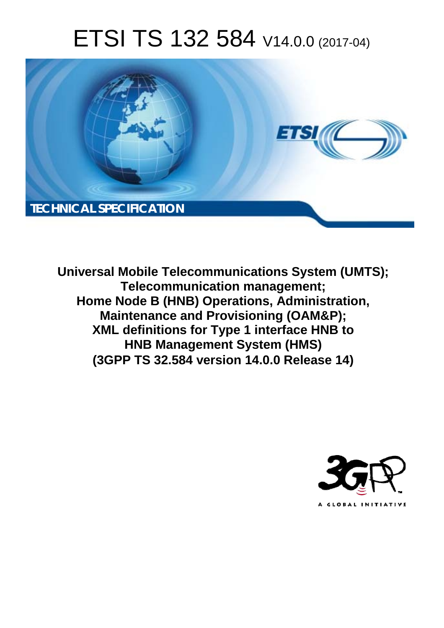# ETSI TS 132 584 V14.0.0 (2017-04)



**Universal Mobile Telecommunications System (UMTS); Telecommunication management; Home Node B (HNB) Operations, Administration, Maintenance and Provisioning (OAM&P); XML definitions for Type 1 interface HNB to HNB Management System (HMS) (3GPP TS 32.584 version 14.0.0 Release 14)** 

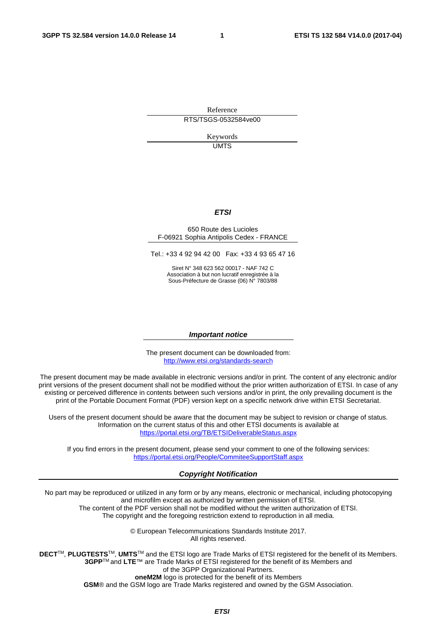Reference RTS/TSGS-0532584ve00

> Keywords UMTS

#### *ETSI*

#### 650 Route des Lucioles F-06921 Sophia Antipolis Cedex - FRANCE

Tel.: +33 4 92 94 42 00 Fax: +33 4 93 65 47 16

Siret N° 348 623 562 00017 - NAF 742 C Association à but non lucratif enregistrée à la Sous-Préfecture de Grasse (06) N° 7803/88

#### *Important notice*

The present document can be downloaded from: <http://www.etsi.org/standards-search>

The present document may be made available in electronic versions and/or in print. The content of any electronic and/or print versions of the present document shall not be modified without the prior written authorization of ETSI. In case of any existing or perceived difference in contents between such versions and/or in print, the only prevailing document is the print of the Portable Document Format (PDF) version kept on a specific network drive within ETSI Secretariat.

Users of the present document should be aware that the document may be subject to revision or change of status. Information on the current status of this and other ETSI documents is available at <https://portal.etsi.org/TB/ETSIDeliverableStatus.aspx>

If you find errors in the present document, please send your comment to one of the following services: <https://portal.etsi.org/People/CommiteeSupportStaff.aspx>

#### *Copyright Notification*

No part may be reproduced or utilized in any form or by any means, electronic or mechanical, including photocopying and microfilm except as authorized by written permission of ETSI.

The content of the PDF version shall not be modified without the written authorization of ETSI. The copyright and the foregoing restriction extend to reproduction in all media.

> © European Telecommunications Standards Institute 2017. All rights reserved.

**DECT**TM, **PLUGTESTS**TM, **UMTS**TM and the ETSI logo are Trade Marks of ETSI registered for the benefit of its Members. **3GPP**TM and **LTE**™ are Trade Marks of ETSI registered for the benefit of its Members and of the 3GPP Organizational Partners.

**oneM2M** logo is protected for the benefit of its Members

**GSM**® and the GSM logo are Trade Marks registered and owned by the GSM Association.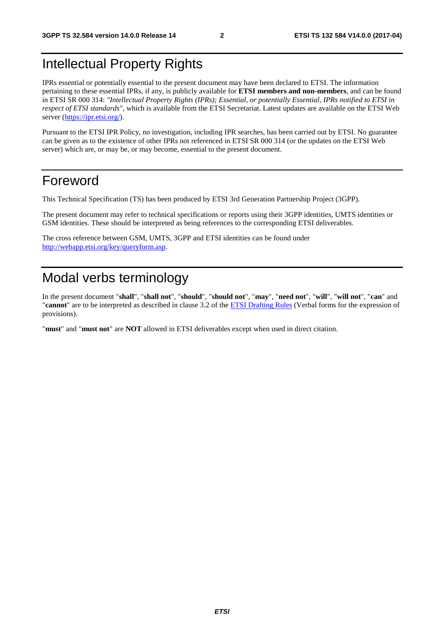# Intellectual Property Rights

IPRs essential or potentially essential to the present document may have been declared to ETSI. The information pertaining to these essential IPRs, if any, is publicly available for **ETSI members and non-members**, and can be found in ETSI SR 000 314: *"Intellectual Property Rights (IPRs); Essential, or potentially Essential, IPRs notified to ETSI in respect of ETSI standards"*, which is available from the ETSI Secretariat. Latest updates are available on the ETSI Web server ([https://ipr.etsi.org/\)](https://ipr.etsi.org/).

Pursuant to the ETSI IPR Policy, no investigation, including IPR searches, has been carried out by ETSI. No guarantee can be given as to the existence of other IPRs not referenced in ETSI SR 000 314 (or the updates on the ETSI Web server) which are, or may be, or may become, essential to the present document.

### Foreword

This Technical Specification (TS) has been produced by ETSI 3rd Generation Partnership Project (3GPP).

The present document may refer to technical specifications or reports using their 3GPP identities, UMTS identities or GSM identities. These should be interpreted as being references to the corresponding ETSI deliverables.

The cross reference between GSM, UMTS, 3GPP and ETSI identities can be found under [http://webapp.etsi.org/key/queryform.asp.](http://webapp.etsi.org/key/queryform.asp)

# Modal verbs terminology

In the present document "**shall**", "**shall not**", "**should**", "**should not**", "**may**", "**need not**", "**will**", "**will not**", "**can**" and "**cannot**" are to be interpreted as described in clause 3.2 of the [ETSI Drafting Rules](https://portal.etsi.org/Services/editHelp!/Howtostart/ETSIDraftingRules.aspx) (Verbal forms for the expression of provisions).

"**must**" and "**must not**" are **NOT** allowed in ETSI deliverables except when used in direct citation.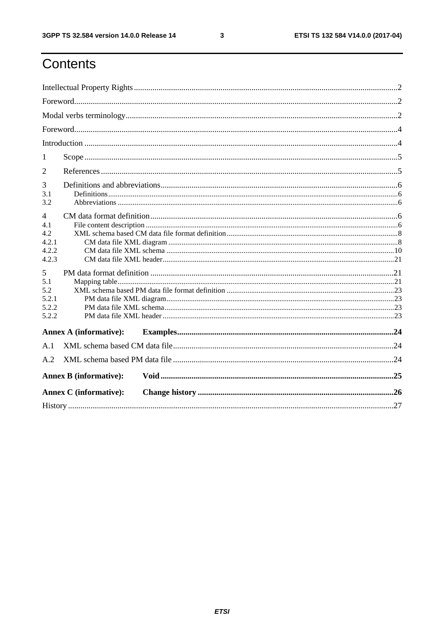$\mathbf{3}$ 

# Contents

| 1          |                               |  |  |  |  |  |
|------------|-------------------------------|--|--|--|--|--|
| 2          |                               |  |  |  |  |  |
| 3          |                               |  |  |  |  |  |
| 3.1        |                               |  |  |  |  |  |
| 3.2        |                               |  |  |  |  |  |
| 4          |                               |  |  |  |  |  |
| 4.1<br>4.2 |                               |  |  |  |  |  |
| 4.2.1      |                               |  |  |  |  |  |
| 4.2.2      |                               |  |  |  |  |  |
| 4.2.3      |                               |  |  |  |  |  |
| 5          |                               |  |  |  |  |  |
| 5.1        |                               |  |  |  |  |  |
| 5.2        |                               |  |  |  |  |  |
| 5.2.1      |                               |  |  |  |  |  |
| 5.2.2      |                               |  |  |  |  |  |
| 5.2.2      |                               |  |  |  |  |  |
|            | <b>Annex A (informative):</b> |  |  |  |  |  |
| A.1        |                               |  |  |  |  |  |
| A.2        |                               |  |  |  |  |  |
|            | <b>Annex B</b> (informative): |  |  |  |  |  |
|            | <b>Annex C</b> (informative): |  |  |  |  |  |
|            |                               |  |  |  |  |  |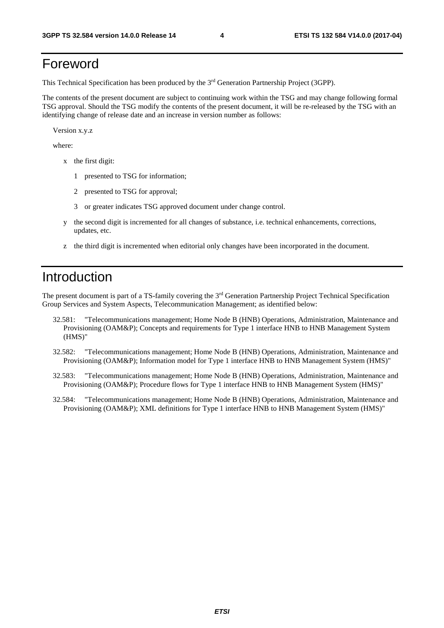# Foreword

This Technical Specification has been produced by the 3rd Generation Partnership Project (3GPP).

The contents of the present document are subject to continuing work within the TSG and may change following formal TSG approval. Should the TSG modify the contents of the present document, it will be re-released by the TSG with an identifying change of release date and an increase in version number as follows:

Version x.y.z

where:

- x the first digit:
	- 1 presented to TSG for information;
	- 2 presented to TSG for approval;
	- 3 or greater indicates TSG approved document under change control.
- y the second digit is incremented for all changes of substance, i.e. technical enhancements, corrections, updates, etc.
- z the third digit is incremented when editorial only changes have been incorporated in the document.

### Introduction

The present document is part of a TS-family covering the 3rd Generation Partnership Project Technical Specification Group Services and System Aspects, Telecommunication Management; as identified below:

- 32.581: "Telecommunications management; Home Node B (HNB) Operations, Administration, Maintenance and Provisioning (OAM&P); Concepts and requirements for Type 1 interface HNB to HNB Management System (HMS)"
- 32.582: "Telecommunications management; Home Node B (HNB) Operations, Administration, Maintenance and Provisioning (OAM&P); Information model for Type 1 interface HNB to HNB Management System (HMS)"
- 32.583: "Telecommunications management; Home Node B (HNB) Operations, Administration, Maintenance and Provisioning (OAM&P); Procedure flows for Type 1 interface HNB to HNB Management System (HMS)"
- 32.584: "Telecommunications management; Home Node B (HNB) Operations, Administration, Maintenance and Provisioning (OAM&P); XML definitions for Type 1 interface HNB to HNB Management System (HMS)"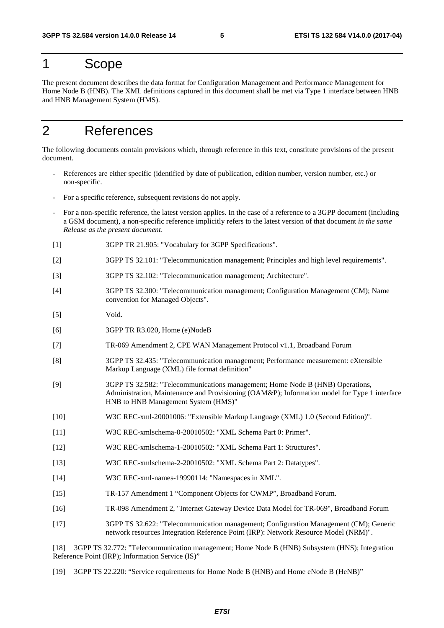# 1 Scope

The present document describes the data format for Configuration Management and Performance Management for Home Node B (HNB). The XML definitions captured in this document shall be met via Type 1 interface between HNB and HNB Management System (HMS).

# 2 References

The following documents contain provisions which, through reference in this text, constitute provisions of the present document.

- References are either specific (identified by date of publication, edition number, version number, etc.) or non-specific.
- For a specific reference, subsequent revisions do not apply.
- For a non-specific reference, the latest version applies. In the case of a reference to a 3GPP document (including a GSM document), a non-specific reference implicitly refers to the latest version of that document *in the same Release as the present document*.
- [1] 3GPP TR 21.905: "Vocabulary for 3GPP Specifications".
- [2] 3GPP TS 32.101: "Telecommunication management; Principles and high level requirements".
- [3] 3GPP TS 32.102: "Telecommunication management; Architecture".
- [4] 3GPP TS 32.300: "Telecommunication management; Configuration Management (CM); Name convention for Managed Objects".
- [5] Void.
- [6] 3GPP TR R3.020, Home (e)NodeB
- [7] TR-069 Amendment 2, CPE WAN Management Protocol v1.1, Broadband Forum
- [8] 3GPP TS 32.435: "Telecommunication management; Performance measurement: eXtensible Markup Language (XML) file format definition"
- [9] 3GPP TS 32.582: "Telecommunications management; Home Node B (HNB) Operations, Administration, Maintenance and Provisioning (OAM&P); Information model for Type 1 interface HNB to HNB Management System (HMS)"
- [10] W3C REC-xml-20001006: "Extensible Markup Language (XML) 1.0 (Second Edition)".
- [11] W3C REC-xmlschema-0-20010502: "XML Schema Part 0: Primer".
- [12] W3C REC-xmlschema-1-20010502: "XML Schema Part 1: Structures".
- [13] W3C REC-xmlschema-2-20010502: "XML Schema Part 2: Datatypes".
- [14] W3C REC-xml-names-19990114: "Namespaces in XML".
- [15] TR-157 Amendment 1 "Component Objects for CWMP", Broadband Forum.
- [16] TR-098 Amendment 2, "Internet Gateway Device Data Model for TR-069", Broadband Forum
- [17] 3GPP TS 32.622: "Telecommunication management; Configuration Management (CM); Generic network resources Integration Reference Point (IRP): Network Resource Model (NRM)".

[18] 3GPP TS 32.772: "Telecommunication management; Home Node B (HNB) Subsystem (HNS); Integration Reference Point (IRP); Information Service (IS)"

[19] 3GPP TS 22.220: "Service requirements for Home Node B (HNB) and Home eNode B (HeNB)"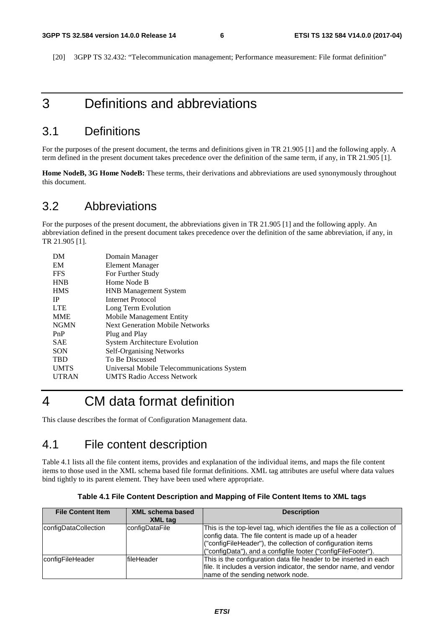[20] 3GPP TS 32.432: "Telecommunication management; Performance measurement: File format definition"

# 3 Definitions and abbreviations

#### 3.1 Definitions

For the purposes of the present document, the terms and definitions given in TR 21.905 [1] and the following apply. A term defined in the present document takes precedence over the definition of the same term, if any, in TR 21.905 [1].

**Home NodeB, 3G Home NodeB:** These terms, their derivations and abbreviations are used synonymously throughout this document.

#### 3.2 Abbreviations

For the purposes of the present document, the abbreviations given in TR 21.905 [1] and the following apply. An abbreviation defined in the present document takes precedence over the definition of the same abbreviation, if any, in TR 21.905 [1].

| DМ           | Domain Manager                             |
|--------------|--------------------------------------------|
| EM           | Element Manager                            |
| <b>FFS</b>   | For Further Study                          |
| <b>HNB</b>   | Home Node B                                |
| <b>HMS</b>   | <b>HNB</b> Management System               |
| IP           | Internet Protocol                          |
| <b>LTE</b>   | Long Term Evolution                        |
| <b>MME</b>   | Mobile Management Entity                   |
| <b>NGMN</b>  | <b>Next Generation Mobile Networks</b>     |
| PnP          | Plug and Play                              |
| <b>SAE</b>   | <b>System Architecture Evolution</b>       |
| SON          | <b>Self-Organising Networks</b>            |
| <b>TBD</b>   | To Be Discussed                            |
| <b>UMTS</b>  | Universal Mobile Telecommunications System |
| <b>UTRAN</b> | <b>UMTS Radio Access Network</b>           |
|              |                                            |

### 4 CM data format definition

This clause describes the format of Configuration Management data.

#### 4.1 File content description

Table 4.1 lists all the file content items, provides and explanation of the individual items, and maps the file content items to those used in the XML schema based file format definitions. XML tag attributes are useful where data values bind tightly to its parent element. They have been used where appropriate.

| <b>File Content Item</b> | <b>XML schema based</b><br>XML tag | <b>Description</b>                                                                                                                                                                                                                                              |
|--------------------------|------------------------------------|-----------------------------------------------------------------------------------------------------------------------------------------------------------------------------------------------------------------------------------------------------------------|
| configDataCollection     | configDataFile                     | This is the top-level tag, which identifies the file as a collection of<br>config data. The file content is made up of a header<br>("configFileHeader"), the collection of configuration items<br>("configData"), and a configfile footer ("configFileFooter"). |
| configFileHeader         | fileHeader                         | This is the configuration data file header to be inserted in each<br>file. It includes a version indicator, the sendor name, and vendor<br>name of the sending network node.                                                                                    |

**Table 4.1 File Content Description and Mapping of File Content Items to XML tags**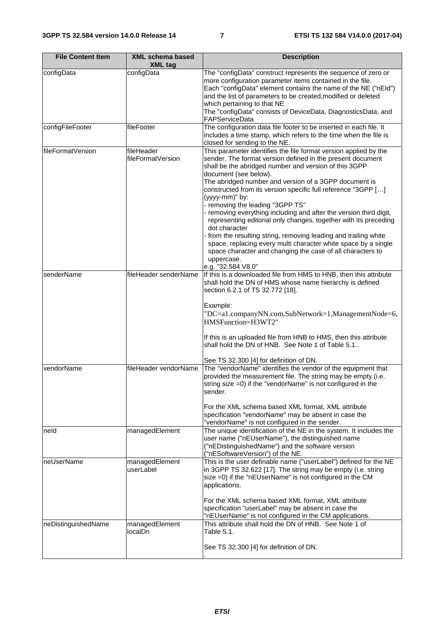| <b>File Content Item</b> | <b>XML schema based</b><br><b>XML</b> tag | <b>Description</b>                                                                                                                                                                                                                                                                                                                                                                                                                                                                                                                                                                                                                                                                                                                                                                                |  |  |
|--------------------------|-------------------------------------------|---------------------------------------------------------------------------------------------------------------------------------------------------------------------------------------------------------------------------------------------------------------------------------------------------------------------------------------------------------------------------------------------------------------------------------------------------------------------------------------------------------------------------------------------------------------------------------------------------------------------------------------------------------------------------------------------------------------------------------------------------------------------------------------------------|--|--|
| configData               | configData                                | The "configData" construct represents the sequence of zero or<br>more configuration parameter items contained in the file.<br>Each "configData" element contains the name of the NE ("nEld")<br>and the list of parameters to be created, modified or deleted<br>which pertaining to that NE<br>The "configData" consists of DeviceData, DiagnosticsData, and<br>FAPServiceData                                                                                                                                                                                                                                                                                                                                                                                                                   |  |  |
| configFileFooter         | fileFooter                                | The configuration data file footer to be inserted in each file. It<br>includes a time stamp, which refers to the time when the file is<br>closed for sending to the NE.                                                                                                                                                                                                                                                                                                                                                                                                                                                                                                                                                                                                                           |  |  |
| fileFormatVersion        | fileHeader<br>fileFormatVersion           | This parameter identifies the file format version applied by the<br>sender. The format version defined in the present document<br>shall be the abridged number and version of this 3GPP<br>document (see below).<br>The abridged number and version of a 3GPP document is<br>constructed from its version specific full reference "3GPP []<br>(yyyy-mm)" by:<br>- removing the leading "3GPP TS"<br>- removing everything including and after the version third digit,<br>representing editorial only changes, together with its preceding<br>dot character<br>from the resulting string, removing leading and trailing white<br>space, replacing every multi character white space by a single<br>space character and changing the case of all characters to<br>uppercase.<br>e.g. "32.584 V8.0" |  |  |
| senderName               | fileHeader senderName                     | If this is a downloaded file from HMS to HNB, then this attribute<br>shall hold the DN of HMS whose name hierarchy is defined<br>section 6.2.1 of TS 32.772 [18].<br>Example:<br>"DC=a1.companyNN.com,SubNetwork=1,ManagementNode=6,<br>HMSFunction=H3WT2"<br>If this is an uploaded file from HNB to HMS, then this attribute<br>shall hold the DN of HNB. See Note 1 of Table 5.1<br>See TS 32.300 [4] for definition of DN.                                                                                                                                                                                                                                                                                                                                                                    |  |  |
| vendorName               | fileHeader vendorName                     | The "vendorName" identifies the vendor of the equipment that<br>provided the measurement file. The string may be empty (i.e.<br>string size =0) if the "vendorName" is not configured in the<br>sender.<br>For the XML schema based XML format, XML attribute<br>specification "vendorName" may be absent in case the<br>"vendorName" is not configured in the sender.                                                                                                                                                                                                                                                                                                                                                                                                                            |  |  |
| neld                     | managedElement                            | The unique identification of the NE in the system. It includes the<br>user name ("nEUserName"), the distinguished name<br>("nEDistinguishedName") and the software version<br>("nESoftwareVersion") of the NE.                                                                                                                                                                                                                                                                                                                                                                                                                                                                                                                                                                                    |  |  |
| neUserName               | managedElement<br>userLabel               | This is the user definable name ("userLabel") defined for the NE<br>in 3GPP TS 32.622 [17]. The string may be empty (i.e. string<br>size =0) if the "nEUserName" is not configured in the CM<br>applications.<br>For the XML schema based XML format, XML attribute<br>specification "userLabel" may be absent in case the<br>"nEUserName" is not configured in the CM applications.                                                                                                                                                                                                                                                                                                                                                                                                              |  |  |
| neDistinguishedName      | managedElement<br>localDn                 | This attribute shall hold the DN of HNB. See Note 1 of<br>Table 5.1.<br>See TS 32.300 [4] for definition of DN.                                                                                                                                                                                                                                                                                                                                                                                                                                                                                                                                                                                                                                                                                   |  |  |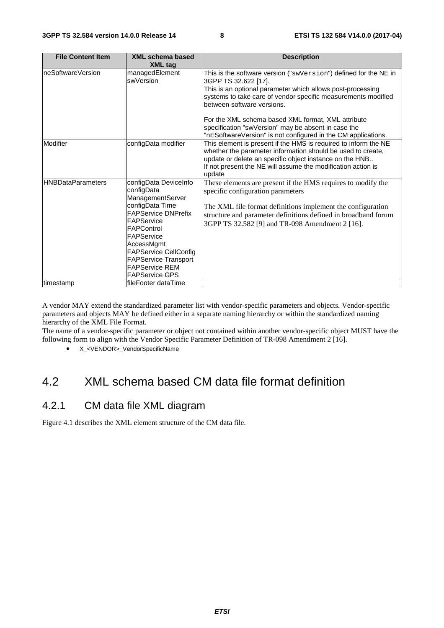| <b>File Content Item</b> | <b>XML schema based</b>                                                                                                                                                                                                                                                           | <b>Description</b>                                                                                                                                                                                                                                                                    |
|--------------------------|-----------------------------------------------------------------------------------------------------------------------------------------------------------------------------------------------------------------------------------------------------------------------------------|---------------------------------------------------------------------------------------------------------------------------------------------------------------------------------------------------------------------------------------------------------------------------------------|
|                          | <b>XML</b> tag                                                                                                                                                                                                                                                                    |                                                                                                                                                                                                                                                                                       |
| neSoftwareVersion        | managedElement<br>swVersion                                                                                                                                                                                                                                                       | This is the software version ("swVersion") defined for the NE in<br>3GPP TS 32.622 [17].<br>This is an optional parameter which allows post-processing<br>systems to take care of vendor specific measurements modified<br>between software versions.                                 |
|                          |                                                                                                                                                                                                                                                                                   | For the XML schema based XML format, XML attribute<br>specification "swVersion" may be absent in case the<br>"nESoftwareVersion" is not configured in the CM applications.                                                                                                            |
| Modifier                 | configData modifier                                                                                                                                                                                                                                                               | This element is present if the HMS is required to inform the NE<br>whether the parameter information should be used to create,<br>update or delete an specific object instance on the HNB<br>If not present the NE will assume the modification action is<br>update                   |
| <b>HNBDataParameters</b> | configData DeviceInfo<br>configData<br>ManagementServer<br>configData Time<br><b>FAPService DNPrefix</b><br>FAPService<br>FAPControl<br>FAPService<br>AccessMgmt<br><b>FAPService CellConfig</b><br><b>FAPService Transport</b><br><b>FAPService REM</b><br><b>FAPService GPS</b> | These elements are present if the HMS requires to modify the<br>specific configuration parameters<br>The XML file format definitions implement the configuration<br>structure and parameter definitions defined in broadband forum<br>3GPP TS 32.582 [9] and TR-098 Amendment 2 [16]. |
| timestamp                | fileFooter dataTime                                                                                                                                                                                                                                                               |                                                                                                                                                                                                                                                                                       |

A vendor MAY extend the standardized parameter list with vendor-specific parameters and objects. Vendor-specific parameters and objects MAY be defined either in a separate naming hierarchy or within the standardized naming hierarchy of the XML File Format.

The name of a vendor-specific parameter or object not contained within another vendor-specific object MUST have the following form to align with the Vendor Specific Parameter Definition of TR-098 Amendment 2 [16].

• X\_<VENDOR>\_VendorSpecificName

# 4.2 XML schema based CM data file format definition

#### 4.2.1 CM data file XML diagram

Figure 4.1 describes the XML element structure of the CM data file.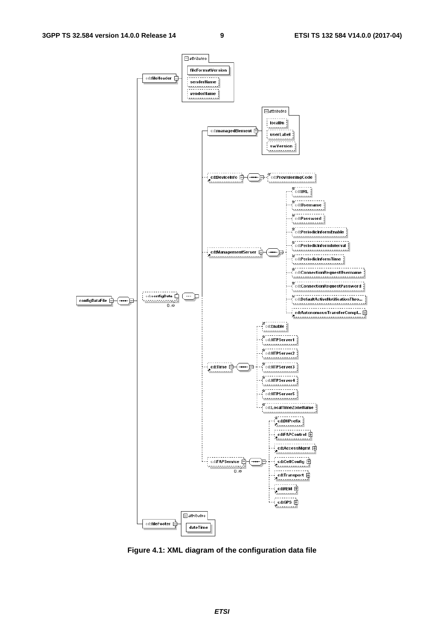

**Figure 4.1: XML diagram of the configuration data file**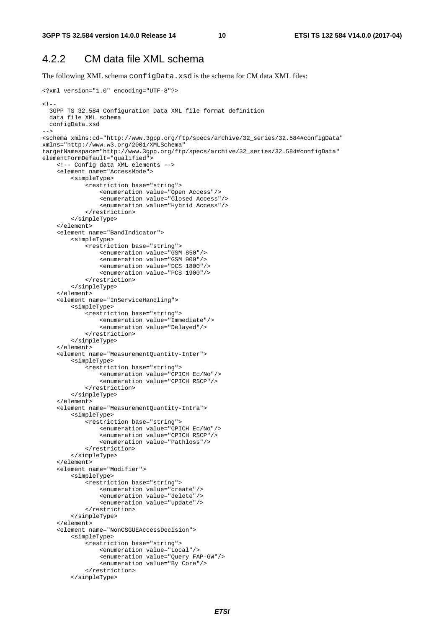#### 4.2.2 CM data file XML schema

The following XML schema configData.xsd is the schema for CM data XML files:

```
<?xml version="1.0" encoding="UTF-8"?> 
< ! - - 3GPP TS 32.584 Configuration Data XML file format definition 
   data file XML schema 
  configData.xsd 
--> 
<schema xmlns:cd="http://www.3gpp.org/ftp/specs/archive/32_series/32.584#configData" 
xmlns="http://www.w3.org/2001/XMLSchema" 
targetNamespace="http://www.3gpp.org/ftp/specs/archive/32_series/32.584#configData" 
elementFormDefault="qualified">
     <!-- Config data XML elements --> 
     <element name="AccessMode"> 
         <simpleType> 
              <restriction base="string"> 
                  <enumeration value="Open Access"/> 
                  <enumeration value="Closed Access"/> 
                  <enumeration value="Hybrid Access"/> 
              </restriction> 
         </simpleType> 
     </element> 
     <element name="BandIndicator"> 
         <simpleType> 
              <restriction base="string"> 
                  <enumeration value="GSM 850"/> 
                  <enumeration value="GSM 900"/> 
                  <enumeration value="DCS 1800"/> 
                  <enumeration value="PCS 1900"/> 
              </restriction> 
         </simpleType> 
     </element> 
     <element name="InServiceHandling"> 
         <simpleType> 
             -<br><restriction base="string">
                  <enumeration value="Immediate"/> 
                  <enumeration value="Delayed"/> 
              </restriction> 
         </simpleType> 
     </element> 
     <element name="MeasurementQuantity-Inter"> 
         <simpleType> 
              <restriction base="string"> 
                  <enumeration value="CPICH Ec/No"/> 
                  <enumeration value="CPICH RSCP"/> 
              </restriction> 
         </simpleType> 
     </element> 
     <element name="MeasurementQuantity-Intra"> 
         <simpleType> 
              <restriction base="string"> 
                  <enumeration value="CPICH Ec/No"/> 
                  <enumeration value="CPICH RSCP"/> 
                  <enumeration value="Pathloss"/> 
              </restriction> 
         </simpleType> 
     </element> 
     <element name="Modifier"> 
         <simpleType> 
              <restriction base="string"> 
                  <enumeration value="create"/> 
                  <enumeration value="delete"/> 
                  <enumeration value="update"/> 
              </restriction> 
          </simpleType> 
     </element> 
     <element name="NonCSGUEAccessDecision"> 
         <simpleType> 
              <restriction base="string"> 
                  <enumeration value="Local"/> 
                  <enumeration value="Query FAP-GW"/> 
                  <enumeration value="By Core"/> 
              </restriction> 
          </simpleType>
```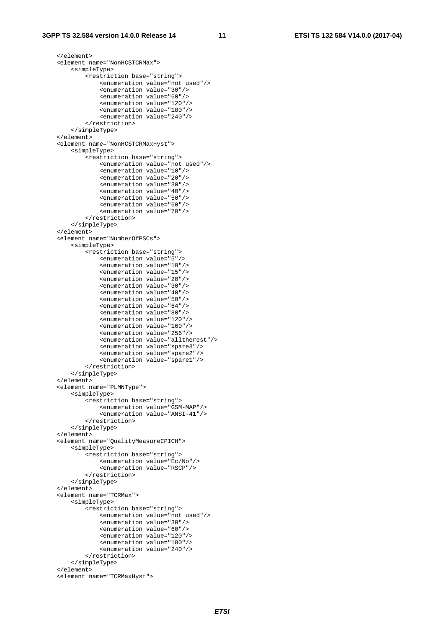```
 </element> 
 <element name="NonHCSTCRMax"> 
     <simpleType> 
         <restriction base="string"> 
              <enumeration value="not used"/> 
              <enumeration value="30"/> 
              <enumeration value="60"/> 
              <enumeration value="120"/> 
              <enumeration value="180"/> 
              <enumeration value="240"/> 
         </restriction> 
     </simpleType> 
 </element> 
 <element name="NonHCSTCRMaxHyst"> 
     <simpleType> 
         <restriction base="string"> 
              <enumeration value="not used"/> 
              <enumeration value="10"/> 
              <enumeration value="20"/> 
              <enumeration value="30"/> 
              <enumeration value="40"/> 
              <enumeration value="50"/> 
              <enumeration value="60"/> 
              <enumeration value="70"/> 
         </restriction> 
     </simpleType> 
 </element> 
 <element name="NumberOfPSCs"> 
     <simpleType> 
         <restriction base="string"> 
              <enumeration value="5"/> 
              <enumeration value="10"/> 
              <enumeration value="15"/> 
              <enumeration value="20"/> 
              <enumeration value="30"/> 
              <enumeration value="40"/> 
              <enumeration value="50"/> 
              <enumeration value="64"/> 
              <enumeration value="80"/> 
              <enumeration value="120"/> 
              <enumeration value="160"/> 
              <enumeration value="256"/> 
              <enumeration value="alltherest"/> 
              <enumeration value="spare3"/> 
              <enumeration value="spare2"/> 
              <enumeration value="spare1"/> 
         </restriction> 
     </simpleType> 
 </element> 
 <element name="PLMNType"> 
     <simpleType> 
         <restriction base="string"> 
              <enumeration value="GSM-MAP"/> 
              <enumeration value="ANSI-41"/> 
         </restriction> 
     </simpleType> 
\epsilon/element>
 <element name="QualityMeasureCPICH"> 
     <simpleType> 
        -<br><restriction base="string">
              <enumeration value="Ec/No"/> 
              <enumeration value="RSCP"/> 
         </restriction> 
     </simpleType> 
 </element> 
 <element name="TCRMax"> 
     <simpleType> 
         <restriction base="string"> 
              <enumeration value="not used"/> 
              <enumeration value="30"/> 
              <enumeration value="60"/> 
              <enumeration value="120"/> 
              <enumeration value="180"/> 
              <enumeration value="240"/> 
         </restriction> 
     </simpleType> 
 </element>
```
 <sup>&</sup>lt;element name="TCRMaxHyst">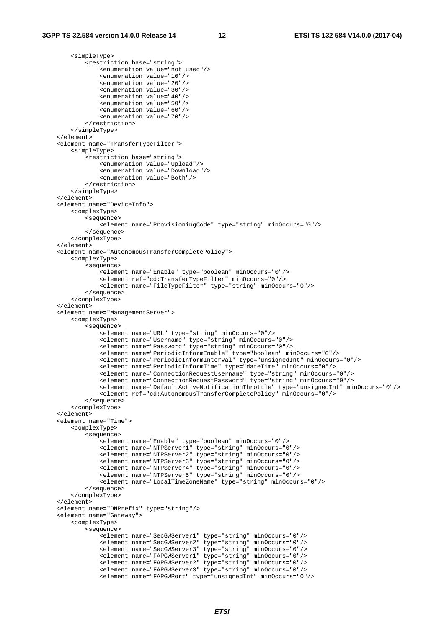<simpleType>

```
 <restriction base="string"> 
                 <enumeration value="not used"/> 
                 <enumeration value="10"/> 
                 <enumeration value="20"/> 
                 <enumeration value="30"/> 
                 <enumeration value="40"/> 
                 <enumeration value="50"/> 
                 <enumeration value="60"/> 
                 <enumeration value="70"/> 
            </restriction> 
        </simpleType> 
    </element> 
    <element name="TransferTypeFilter"> 
        <simpleType> 
            <restriction base="string"> 
                 <enumeration value="Upload"/> 
                 <enumeration value="Download"/> 
                 <enumeration value="Both"/> 
            </restriction> 
        </simpleType> 
   \epsilon/element>
    <element name="DeviceInfo"> 
        <complexType> 
            <sequence> 
                <element name="ProvisioningCode" type="string" minOccurs="0"/> 
            </sequence> 
         </complexType> 
    </element> 
    <element name="AutonomousTransferCompletePolicy"> 
        <complexType> 
            <sequence> 
                 <element name="Enable" type="boolean" minOccurs="0"/> 
                 <element ref="cd:TransferTypeFilter" minOccurs="0"/> 
                 <element name="FileTypeFilter" type="string" minOccurs="0"/> 
             </sequence> 
         </complexType> 
    </element> 
    <element name="ManagementServer"> 
        <complexType> 
             <sequence> 
                 <element name="URL" type="string" minOccurs="0"/> 
 <element name="Username" type="string" minOccurs="0"/> 
 <element name="Password" type="string" minOccurs="0"/> 
                 <element name="PeriodicInformEnable" type="boolean" minOccurs="0"/> 
                 <element name="PeriodicInformInterval" type="unsignedInt" minOccurs="0"/> 
                 <element name="PeriodicInformTime" type="dateTime" minOccurs="0"/> 
 <element name="ConnectionRequestUsername" type="string" minOccurs="0"/> 
 <element name="ConnectionRequestPassword" type="string" minOccurs="0"/> 
                 <element name="DefaultActiveNotificationThrottle" type="unsignedInt" minOccurs="0"/> 
                 <element ref="cd:AutonomousTransferCompletePolicy" minOccurs="0"/> 
            </sequence> 
        </complexType> 
    </element> 
    <element name="Time"> 
        <complexType> 
            <sequence> 
                 <element name="Enable" type="boolean" minOccurs="0"/> 
 <element name="NTPServer1" type="string" minOccurs="0"/> 
 <element name="NTPServer2" type="string" minOccurs="0"/> 
                 <element name="NTPServer3" type="string" minOccurs="0"/> 
                 <element name="NTPServer4" type="string" minOccurs="0"/> 
                 <element name="NTPServer5" type="string" minOccurs="0"/> 
                 <element name="LocalTimeZoneName" type="string" minOccurs="0"/> 
            </sequence> 
        </complexType> 
    </element> 
    <element name="DNPrefix" type="string"/> 
    <element name="Gateway"> 
        <complexType> 
             <sequence> 
                 <element name="SecGWServer1" type="string" minOccurs="0"/> 
                 <element name="SecGWServer2" type="string" minOccurs="0"/> 
 <element name="SecGWServer3" type="string" minOccurs="0"/> 
 <element name="FAPGWServer1" type="string" minOccurs="0"/> 
                 <element name="FAPGWServer2" type="string" minOccurs="0"/> 
                 <element name="FAPGWServer3" type="string" minOccurs="0"/> 
                 <element name="FAPGWPort" type="unsignedInt" minOccurs="0"/>
```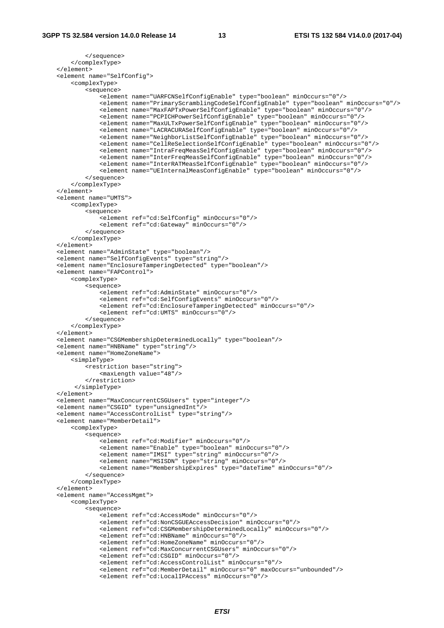```
 </sequence> 
         </complexType> 
    </element> 
    <element name="SelfConfig"> 
         <complexType> 
             <sequence> 
                 <element name="UARFCNSelfConfigEnable" type="boolean" minOccurs="0"/> 
                 <element name="PrimaryScramblingCodeSelfConfigEnable" type="boolean" minOccurs="0"/> 
                 <element name="MaxFAPTxPowerSelfConfigEnable" type="boolean" minOccurs="0"/> 
                 <element name="PCPICHPowerSelfConfigEnable" type="boolean" minOccurs="0"/> 
                 <element name="MaxULTxPowerSelfConfigEnable" type="boolean" minOccurs="0"/> 
                 <element name="LACRACURASelfConfigEnable" type="boolean" minOccurs="0"/> 
                 <element name="NeighborListSelfConfigEnable" type="boolean" minOccurs="0"/> 
                 <element name="CellReSelectionSelfConfigEnable" type="boolean" minOccurs="0"/> 
 <element name="IntraFreqMeasSelfConfigEnable" type="boolean" minOccurs="0"/> 
 <element name="InterFreqMeasSelfConfigEnable" type="boolean" minOccurs="0"/> 
                 <element name="InterRATMeasSelfConfigEnable" type="boolean" minOccurs="0"/> 
                 <element name="UEInternalMeasConfigEnable" type="boolean" minOccurs="0"/> 
             </sequence> 
         </complexType> 
    </element> 
    <element name="UMTS"> 
         <complexType> 
             <sequence> 
                 <element ref="cd:SelfConfig" minOccurs="0"/> 
                 <element ref="cd:Gateway" minOccurs="0"/> 
             </sequence> 
         </complexType> 
    </element> 
    <element name="AdminState" type="boolean"/> 
    <element name="SelfConfigEvents" type="string"/> 
    <element name="EnclosureTamperingDetected" type="boolean"/> 
    <element name="FAPControl"> 
         <complexType> 
             <sequence> 
                 <element ref="cd:AdminState" minOccurs="0"/> 
                 <element ref="cd:SelfConfigEvents" minOccurs="0"/> 
                 <element ref="cd:EnclosureTamperingDetected" minOccurs="0"/> 
                 <element ref="cd:UMTS" minOccurs="0"/> 
             </sequence> 
         </complexType> 
    </element> 
    <element name="CSGMembershipDeterminedLocally" type="boolean"/> 
    <element name="HNBName" type="string"/> 
    <element name="HomeZoneName"> 
         <simpleType> 
             <restriction base="string"> 
                 <maxLength value="48"/> 
             </restriction> 
          </simpleType> 
    </element> 
    <element name="MaxConcurrentCSGUsers" type="integer"/> 
    <element name="CSGID" type="unsignedInt"/> 
    <element name="AccessControlList" type="string"/> 
    <element name="MemberDetail"> 
         <complexType> 
             <sequence> 
                 <element ref="cd:Modifier" minOccurs="0"/> 
                 <element name="Enable" type="boolean" minOccurs="0"/> 
                 <element name="IMSI" type="string" minOccurs="0"/> 
                 <element name="MSISDN" type="string" minOccurs="0"/> 
                 <element name="MembershipExpires" type="dateTime" minOccurs="0"/> 
             </sequence> 
         </complexType> 
    </element> 
    <element name="AccessMgmt"> 
         <complexType> 
             <sequence> 
                 <element ref="cd:AccessMode" minOccurs="0"/> 
                 <element ref="cd:NonCSGUEAccessDecision" minOccurs="0"/> 
                 <element ref="cd:CSGMembershipDeterminedLocally" minOccurs="0"/> 
                 <element ref="cd:HNBName" minOccurs="0"/> 
                 <element ref="cd:HomeZoneName" minOccurs="0"/> 
                 <element ref="cd:MaxConcurrentCSGUsers" minOccurs="0"/> 
                 <element ref="cd:CSGID" minOccurs="0"/> 
                 <element ref="cd:AccessControlList" minOccurs="0"/> 
 <element ref="cd:MemberDetail" minOccurs="0" maxOccurs="unbounded"/> 
 <element ref="cd:LocalIPAccess" minOccurs="0"/>
```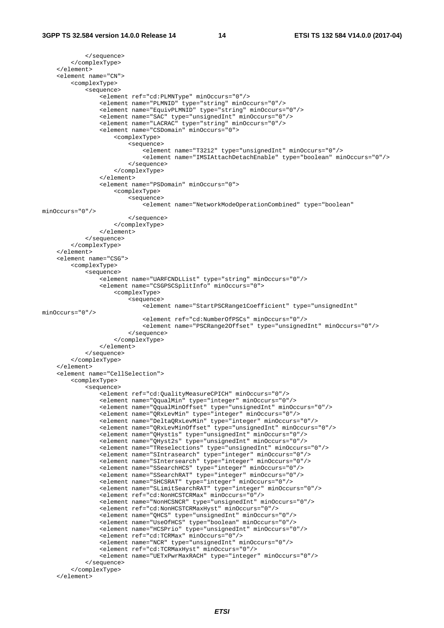```
 </sequence> 
         </complexType> 
     </element> 
     <element name="CN"> 
         <complexType> 
             <sequence> 
                  <element ref="cd:PLMNType" minOccurs="0"/> 
                  <element name="PLMNID" type="string" minOccurs="0"/> 
                  <element name="EquivPLMNID" type="string" minOccurs="0"/> 
                  <element name="SAC" type="unsignedInt" minOccurs="0"/> 
                  <element name="LACRAC" type="string" minOccurs="0"/> 
                  <element name="CSDomain" minOccurs="0"> 
                      <complexType> 
                          <sequence> 
                              <element name="T3212" type="unsignedInt" minOccurs="0"/> 
                              <element name="IMSIAttachDetachEnable" type="boolean" minOccurs="0"/> 
                          </sequence> 
                      </complexType> 
                  </element> 
                  <element name="PSDomain" minOccurs="0"> 
                     <complexType> 
                          <sequence> 
                              <element name="NetworkModeOperationCombined" type="boolean" 
minOccurs="0"/> 
                          </sequence> 
                      </complexType> 
                 </element> 
             </sequence> 
         </complexType> 
    \epsilon/element>
     <element name="CSG"> 
         <complexType> 
            -<br><sequence>
                -<br><element name="UARFCNDLList" type="string" minOccurs="0"/>
                  <element name="CSGPSCSplitInfo" minOccurs="0"> 
                      <complexType> 
                          <sequence> 
                             .<br><element name="StartPSCRange1Coefficient" type="unsignedInt"
minOccurs="0"/> 
                              <element ref="cd:NumberOfPSCs" minOccurs="0"/> 
                              <element name="PSCRange2Offset" type="unsignedInt" minOccurs="0"/> 
                          </sequence> 
                      </complexType> 
                 </element> 
             </sequence> 
         </complexType> 
     </element> 
     <element name="CellSelection"> 
         <complexType> 
             <sequence> 
                 <element ref="cd:QualityMeasureCPICH" minOccurs="0"/> 
                  <element name="QqualMin" type="integer" minOccurs="0"/> 
                  <element name="QqualMinOffset" type="unsignedInt" minOccurs="0"/> 
                  <element name="QRxLevMin" type="integer" minOccurs="0"/> 
                  <element name="DeltaQRxLevMin" type="integer" minOccurs="0"/> 
                 <element name="QRxLevMinOffset" type="unsignedInt" minOccurs="0"/> 
                  <element name="QHyst1s" type="unsignedInt" minOccurs="0"/> 
                 <element name="QHyst2s" type="unsignedInt" minOccurs="0"/> 
                  <element name="TReselections" type="unsignedInt" minOccurs="0"/> 
                 <element name="SIntrasearch" type="integer" minOccurs="0"/> 
                 <element name="SIntersearch" type="integer" minOccurs="0"/> 
                  <element name="SSearchHCS" type="integer" minOccurs="0"/> 
                  <element name="SSearchRAT" type="integer" minOccurs="0"/> 
 <element name="SHCSRAT" type="integer" minOccurs="0"/> 
 <element name="SLimitSearchRAT" type="integer" minOccurs="0"/> 
                 <element ref="cd:NonHCSTCRMax" minOccurs="0"/> 
                  <element name="NonHCSNCR" type="unsignedInt" minOccurs="0"/> 
                  <element ref="cd:NonHCSTCRMaxHyst" minOccurs="0"/> 
 <element name="QHCS" type="unsignedInt" minOccurs="0"/> 
 <element name="UseOfHCS" type="boolean" minOccurs="0"/> 
                  <element name="HCSPrio" type="unsignedInt" minOccurs="0"/> 
                  <element ref="cd:TCRMax" minOccurs="0"/> 
                 <element name="NCR" type="unsignedInt" minOccurs="0"/> 
                 <element ref="cd:TCRMaxHyst" minOccurs="0"/> 
                  <element name="UETxPwrMaxRACH" type="integer" minOccurs="0"/> 
              </sequence> 
         </complexType> 
     </element>
```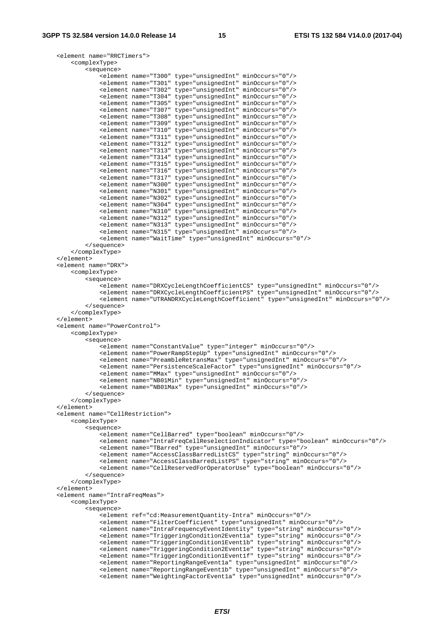```
 <element name="RRCTimers"> 
        <complexType> 
            <sequence> 
 <element name="T300" type="unsignedInt" minOccurs="0"/> 
 <element name="T301" type="unsignedInt" minOccurs="0"/> 
                <element name="T302" type="unsignedInt" minOccurs="0"/> 
 <element name="T304" type="unsignedInt" minOccurs="0"/> 
 <element name="T305" type="unsignedInt" minOccurs="0"/> 
                <element name="T307" type="unsignedInt" minOccurs="0"/> 
                <element name="T308" type="unsignedInt" minOccurs="0"/> 
                <element name="T309" type="unsignedInt" minOccurs="0"/> 
 <element name="T310" type="unsignedInt" minOccurs="0"/> 
 <element name="T311" type="unsignedInt" minOccurs="0"/> 
                <element name="T312" type="unsignedInt" minOccurs="0"/> 
 <element name="T313" type="unsignedInt" minOccurs="0"/> 
 <element name="T314" type="unsignedInt" minOccurs="0"/> 
 <element name="T315" type="unsignedInt" minOccurs="0"/> 
 <element name="T316" type="unsignedInt" minOccurs="0"/> 
                <element name="T317" type="unsignedInt" minOccurs="0"/> 
 <element name="N300" type="unsignedInt" minOccurs="0"/> 
 <element name="N301" type="unsignedInt" minOccurs="0"/> 
                <element name="N302" type="unsignedInt" minOccurs="0"/> 
 <element name="N304" type="unsignedInt" minOccurs="0"/> 
 <element name="N310" type="unsignedInt" minOccurs="0"/> 
 <element name="N312" type="unsignedInt" minOccurs="0"/> 
 <element name="N313" type="unsignedInt" minOccurs="0"/> 
                <element name="N315" type="unsignedInt" minOccurs="0"/> 
                <element name="WaitTime" type="unsignedInt" minOccurs="0"/> 
            </sequence> 
        </complexType> 
    </element> 
    <element name="DRX"> 
        <complexType> 
            <sequence> 
                <element name="DRXCycleLengthCoefficientCS" type="unsignedInt" minOccurs="0"/> 
                <element name="DRXCycleLengthCoefficientPS" type="unsignedInt" minOccurs="0"/> 
                <element name="UTRANDRXCycleLengthCoefficient" type="unsignedInt" minOccurs="0"/> 
            </sequence> 
        </complexType> 
    </element> 
    <element name="PowerControl"> 
        <complexType> 
            <sequence> 
                <element name="ConstantValue" type="integer" minOccurs="0"/> 
                <element name="PowerRampStepUp" type="unsignedInt" minOccurs="0"/> 
                <element name="PreambleRetransMax" type="unsignedInt" minOccurs="0"/> 
                <element name="PersistenceScaleFactor" type="unsignedInt" minOccurs="0"/> 
                <element name="MMax" type="unsignedInt" minOccurs="0"/> 
 <element name="NB01Min" type="unsignedInt" minOccurs="0"/> 
 <element name="NB01Max" type="unsignedInt" minOccurs="0"/> 
            </sequence> 
        </complexType> 
    </element> 
    <element name="CellRestriction"> 
        <complexType> 
            <sequence> 
                <element name="CellBarred" type="boolean" minOccurs="0"/> 
                <element name="IntraFreqCellReselectionIndicator" type="boolean" minOccurs="0"/> 
                <element name="TBarred" type="unsignedInt" minOccurs="0"/> 
                <element name="AccessClassBarredListCS" type="string" minOccurs="0"/> 
                <element name="AccessClassBarredListPS" type="string" minOccurs="0"/> 
                <element name="CellReservedForOperatorUse" type="boolean" minOccurs="0"/> 
            </sequence> 
        </complexType> 
    </element> 
    <element name="IntraFreqMeas"> 
        <complexType> 
            <sequence> 
                <element ref="cd:MeasurementQuantity-Intra" minOccurs="0"/> 
                <element name="FilterCoefficient" type="unsignedInt" minOccurs="0"/> 
                <element name="IntraFrequencyEventIdentity" type="string" minOccurs="0"/> 
 <element name="TriggeringCondition2Event1a" type="string" minOccurs="0"/> 
 <element name="TriggeringCondition1Event1b" type="string" minOccurs="0"/> 
 <element name="TriggeringCondition2Event1e" type="string" minOccurs="0"/> 
 <element name="TriggeringCondition1Event1f" type="string" minOccurs="0"/> 
                <element name="ReportingRangeEvent1a" type="unsignedInt" minOccurs="0"/> 
                <element name="ReportingRangeEvent1b" type="unsignedInt" minOccurs="0"/> 
                <element name="WeightingFactorEvent1a" type="unsignedInt" minOccurs="0"/>
```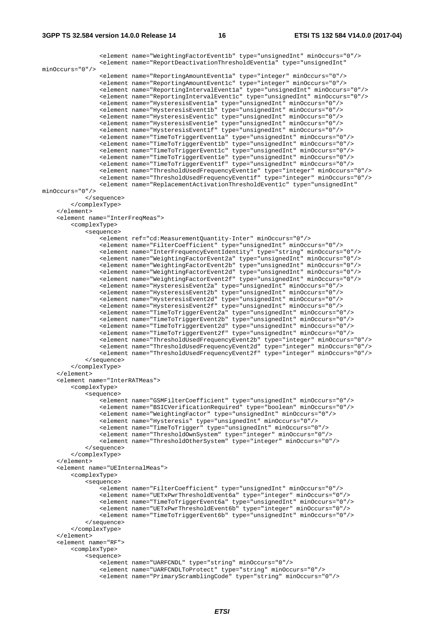```
 <element name="WeightingFactorEvent1b" type="unsignedInt" minOccurs="0"/> 
                <element name="ReportDeactivationThresholdEvent1a" type="unsignedInt" 
minOccurs="0"/> 
 <element name="ReportingAmountEvent1a" type="integer" minOccurs="0"/> 
 <element name="ReportingAmountEvent1c" type="integer" minOccurs="0"/> 
                <element name="ReportingIntervalEvent1a" type="unsignedInt" minOccurs="0"/> 
                <element name="ReportingIntervalEvent1c" type="unsignedInt" minOccurs="0"/> 
                <element name="HysteresisEvent1a" type="unsignedInt" minOccurs="0"/> 
                <element name="HysteresisEvent1b" type="unsignedInt" minOccurs="0"/> 
                <element name="HysteresisEvent1c" type="unsignedInt" minOccurs="0"/> 
                <element name="HysteresisEvent1e" type="unsignedInt" minOccurs="0"/> 
                <element name="HysteresisEvent1f" type="unsignedInt" minOccurs="0"/> 
 <element name="TimeToTriggerEvent1a" type="unsignedInt" minOccurs="0"/> 
 <element name="TimeToTriggerEvent1b" type="unsignedInt" minOccurs="0"/> 
 <element name="TimeToTriggerEvent1c" type="unsignedInt" minOccurs="0"/> 
 <element name="TimeToTriggerEvent1e" type="unsignedInt" minOccurs="0"/> 
                <element name="TimeToTriggerEvent1f" type="unsignedInt" minOccurs="0"/> 
 <element name="ThresholdUsedFrequencyEvent1e" type="integer" minOccurs="0"/> 
 <element name="ThresholdUsedFrequencyEvent1f" type="integer" minOccurs="0"/> 
                <element name="ReplacementActivationThresholdEvent1c" type="unsignedInt" 
minOccurs="0"/> 
            </sequence> 
         </complexType> 
    </element> 
    <element name="InterFreqMeas"> 
        <complexType> 
            <sequence> 
                <element ref="cd:MeasurementQuantity-Inter" minOccurs="0"/> 
                <element name="FilterCoefficient" type="unsignedInt" minOccurs="0"/> 
 <element name="InterFrequencyEventIdentity" type="string" minOccurs="0"/> 
 <element name="WeightingFactorEvent2a" type="unsignedInt" minOccurs="0"/> 
                <element name="WeightingFactorEvent2b" type="unsignedInt" minOccurs="0"/> 
 <element name="WeightingFactorEvent2d" type="unsignedInt" minOccurs="0"/> 
 <element name="WeightingFactorEvent2f" type="unsignedInt" minOccurs="0"/> 
 <element name="HysteresisEvent2a" type="unsignedInt" minOccurs="0"/> 
 <element name="HysteresisEvent2b" type="unsignedInt" minOccurs="0"/> 
                <element name="HysteresisEvent2d" type="unsignedInt" minOccurs="0"/> 
                <element name="HysteresisEvent2f" type="unsignedInt" minOccurs="0"/> 
                <element name="TimeToTriggerEvent2a" type="unsignedInt" minOccurs="0"/> 
                <element name="TimeToTriggerEvent2b" type="unsignedInt" minOccurs="0"/> 
 <element name="TimeToTriggerEvent2d" type="unsignedInt" minOccurs="0"/> 
 <element name="TimeToTriggerEvent2f" type="unsignedInt" minOccurs="0"/> 
 <element name="ThresholdUsedFrequencyEvent2b" type="integer" minOccurs="0"/> 
 <element name="ThresholdUsedFrequencyEvent2d" type="integer" minOccurs="0"/> 
                <element name="ThresholdUsedFrequencyEvent2f" type="integer" minOccurs="0"/> 
            </sequence> 
        </complexType> 
    </element> 
     <element name="InterRATMeas"> 
        <complexType> 
            <sequence> 
                <element name="GSMFilterCoefficient" type="unsignedInt" minOccurs="0"/> 
                <element name="BSICVerificationRequired" type="boolean" minOccurs="0"/> 
                <element name="WeightingFactor" type="unsignedInt" minOccurs="0"/> 
                <element name="Hysteresis" type="unsignedInt" minOccurs="0"/> 
                <element name="TimeToTrigger" type="unsignedInt" minOccurs="0"/> 
                <element name="ThresholdOwnSystem" type="integer" minOccurs="0"/> 
                <element name="ThresholdOtherSystem" type="integer" minOccurs="0"/> 
            </sequence> 
        </complexType> 
    </element> 
     <element name="UEInternalMeas"> 
        <complexType> 
            <sequence> 
               .<br><element name="FilterCoefficient" type="unsignedInt" minOccurs="0"/>
                <element name="UETxPwrThresholdEvent6a" type="integer" minOccurs="0"/> 
                <element name="TimeToTriggerEvent6a" type="unsignedInt" minOccurs="0"/> 
                <element name="UETxPwrThresholdEvent6b" type="integer" minOccurs="0"/> 
                <element name="TimeToTriggerEvent6b" type="unsignedInt" minOccurs="0"/> 
            </sequence> 
         </complexType> 
     </element> 
    <element name="RF"> 
         <complexType> 
            <sequence> 
                <element name="UARFCNDL" type="string" minOccurs="0"/> 
 <element name="UARFCNDLToProtect" type="string" minOccurs="0"/> 
 <element name="PrimaryScramblingCode" type="string" minOccurs="0"/>
```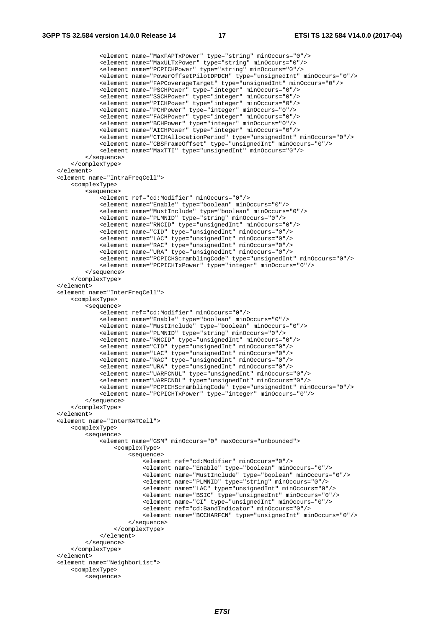```
 <element name="MaxFAPTxPower" type="string" minOccurs="0"/> 
 <element name="MaxULTxPower" type="string" minOccurs="0"/> 
 <element name="PCPICHPower" type="string" minOccurs="0"/> 
                 <element name="PowerOffsetPilotDPDCH" type="unsignedInt" minOccurs="0"/> 
                 <element name="FAPCoverageTarget" type="unsignedInt" minOccurs="0"/> 
                 <element name="PSCHPower" type="integer" minOccurs="0"/> 
                 <element name="SSCHPower" type="integer" minOccurs="0"/> 
                 <element name="PICHPower" type="integer" minOccurs="0"/> 
                 <element name="PCHPower" type="integer" minOccurs="0"/> 
                 <element name="FACHPower" type="integer" minOccurs="0"/> 
                 <element name="BCHPower" type="integer" minOccurs="0"/> 
                 <element name="AICHPower" type="integer" minOccurs="0"/> 
                 <element name="CTCHAllocationPeriod" type="unsignedInt" minOccurs="0"/> 
                 <element name="CBSFrameOffset" type="unsignedInt" minOccurs="0"/> 
                 <element name="MaxTTI" type="unsignedInt" minOccurs="0"/> 
             </sequence> 
         </complexType> 
    </element> 
    <element name="IntraFreqCell"> 
        <complexType> 
             <sequence> 
                 <element ref="cd:Modifier" minOccurs="0"/> 
                 <element name="Enable" type="boolean" minOccurs="0"/> 
                 <element name="MustInclude" type="boolean" minOccurs="0"/> 
                 <element name="PLMNID" type="string" minOccurs="0"/> 
                 <element name="RNCID" type="unsignedInt" minOccurs="0"/> 
                 <element name="CID" type="unsignedInt" minOccurs="0"/> 
                 <element name="LAC" type="unsignedInt" minOccurs="0"/> 
                 <element name="RAC" type="unsignedInt" minOccurs="0"/> 
                 <element name="URA" type="unsignedInt" minOccurs="0"/> 
                 <element name="PCPICHScramblingCode" type="unsignedInt" minOccurs="0"/> 
                 <element name="PCPICHTxPower" type="integer" minOccurs="0"/> 
             </sequence> 
         </complexType> 
   \epsilon/element>
    <element name="InterFreqCell"> 
        <complexType> 
             <sequence> 
                 <element ref="cd:Modifier" minOccurs="0"/> 
                 <element name="Enable" type="boolean" minOccurs="0"/> 
                 <element name="MustInclude" type="boolean" minOccurs="0"/> 
                 <element name="PLMNID" type="string" minOccurs="0"/> 
                 <element name="RNCID" type="unsignedInt" minOccurs="0"/> 
                 <element name="CID" type="unsignedInt" minOccurs="0"/> 
                 <element name="LAC" type="unsignedInt" minOccurs="0"/> 
 <element name="RAC" type="unsignedInt" minOccurs="0"/> 
 <element name="URA" type="unsignedInt" minOccurs="0"/> 
 <element name="UARFCNUL" type="unsignedInt" minOccurs="0"/> 
 <element name="UARFCNDL" type="unsignedInt" minOccurs="0"/> 
                 <element name="PCPICHScramblingCode" type="unsignedInt" minOccurs="0"/> 
                 <element name="PCPICHTxPower" type="integer" minOccurs="0"/> 
             </sequence> 
        </complexType> 
    </element> 
    <element name="InterRATCell"> 
        <complexType> 
             <sequence> 
                 <element name="GSM" minOccurs="0" maxOccurs="unbounded"> 
                     <complexType> 
                         <sequence> 
                             <element ref="cd:Modifier" minOccurs="0"/> 
                             <element name="Enable" type="boolean" minOccurs="0"/> 
                             <element name="MustInclude" type="boolean" minOccurs="0"/> 
                             <element name="PLMNID" type="string" minOccurs="0"/> 
                             <element name="LAC" type="unsignedInt" minOccurs="0"/> 
                             <element name="BSIC" type="unsignedInt" minOccurs="0"/> 
                             <element name="CI" type="unsignedInt" minOccurs="0"/> 
                             <element ref="cd:BandIndicator" minOccurs="0"/> 
                             <element name="BCCHARFCN" type="unsignedInt" minOccurs="0"/> 
                         </sequence> 
                     </complexType> 
                 </element> 
             </sequence> 
         </complexType> 
    </element> 
    <element name="NeighborList"> 
        <complexType> 
             <sequence>
```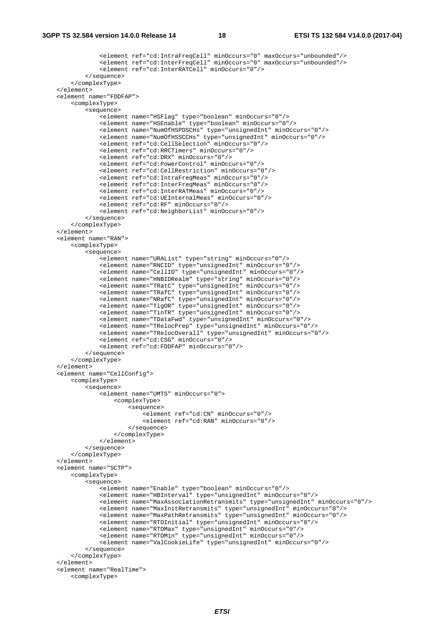```
 <element ref="cd:IntraFreqCell" minOccurs="0" maxOccurs="unbounded"/> 
                 <element ref="cd:InterFreqCell" minOccurs="0" maxOccurs="unbounded"/> 
                 <element ref="cd:InterRATCell" minOccurs="0"/> 
             </sequence> 
         </complexType> 
     </element> 
     <element name="FDDFAP"> 
         <complexType> 
             <sequence> 
                 <element name="HSFlag" type="boolean" minOccurs="0"/> 
                 <element name="HSEnable" type="boolean" minOccurs="0"/> 
                 <element name="NumOfHSPDSCHs" type="unsignedInt" minOccurs="0"/> 
                 <element name="NumOfHSSCCHs" type="unsignedInt" minOccurs="0"/> 
                 <element ref="cd:CellSelection" minOccurs="0"/> 
                 <element ref="cd:RRCTimers" minOccurs="0"/> 
                 <element ref="cd:DRX" minOccurs="0"/> 
                 <element ref="cd:PowerControl" minOccurs="0"/> 
                 <element ref="cd:CellRestriction" minOccurs="0"/> 
                 <element ref="cd:IntraFreqMeas" minOccurs="0"/> 
                 <element ref="cd:InterFreqMeas" minOccurs="0"/> 
                 <element ref="cd:InterRATMeas" minOccurs="0"/> 
                 <element ref="cd:UEInternalMeas" minOccurs="0"/> 
                 <element ref="cd:RF" minOccurs="0"/> 
                 <element ref="cd:NeighborList" minOccurs="0"/> 
             </sequence> 
         </complexType> 
    </element> 
     <element name="RAN"> 
         <complexType> 
             <sequence> 
                .<br><element name="URAList" type="string" minOccurs="0"/>
                 <element name="RNCID" type="unsignedInt" minOccurs="0"/> 
                 <element name="CellID" type="unsignedInt" minOccurs="0"/> 
                 <element name="HNBIDRealm" type="string" minOccurs="0"/> 
                 <element name="TRatC" type="unsignedInt" minOccurs="0"/> 
                 <element name="TRafC" type="unsignedInt" minOccurs="0"/> 
                 <element name="NRafC" type="unsignedInt" minOccurs="0"/> 
 <element name="TigOR" type="unsignedInt" minOccurs="0"/> 
 <element name="TinTR" type="unsignedInt" minOccurs="0"/> 
                 <element name="TDataFwd" type="unsignedInt" minOccurs="0"/> 
                 <element name="TRelocPrep" type="unsignedInt" minOccurs="0"/> 
                 <element name="TRelocOverall" type="unsignedInt" minOccurs="0"/> 
                 <element ref="cd:CSG" minOccurs="0"/> 
                 <element ref="cd:FDDFAP" minOccurs="0"/> 
             </sequence> 
         </complexType> 
    </element> 
     <element name="CellConfig"> 
         <complexType> 
             <sequence> 
                 <element name="UMTS" minOccurs="0"> 
                     <complexType> 
                          <sequence> 
                              <element ref="cd:CN" minOccurs="0"/> 
                              <element ref="cd:RAN" minOccurs="0"/> 
                          </sequence> 
                      </complexType> 
                 </element> 
             </sequence> 
         </complexType> 
    </element> 
     <element name="SCTP"> 
         <complexType> 
             <sequence> 
                .<br><element name="Enable" type="boolean" minOccurs="0"/>
                 <element name="HBInterval" type="unsignedInt" minOccurs="0"/> 
                 <element name="MaxAssociationRetransmits" type="unsignedInt" minOccurs="0"/> 
                 <element name="MaxInitRetransmits" type="unsignedInt" minOccurs="0"/> 
                 <element name="MaxPathRetransmits" type="unsignedInt" minOccurs="0"/> 
                 <element name="RTOInitial" type="unsignedInt" minOccurs="0"/> 
                 <element name="RTOMax" type="unsignedInt" minOccurs="0"/> 
                 <element name="RTOMin" type="unsignedInt" minOccurs="0"/> 
                 <element name="ValCookieLife" type="unsignedInt" minOccurs="0"/> 
             </sequence> 
         </complexType> 
     </element> 
     <element name="RealTime">
```

```
 <complexType>
```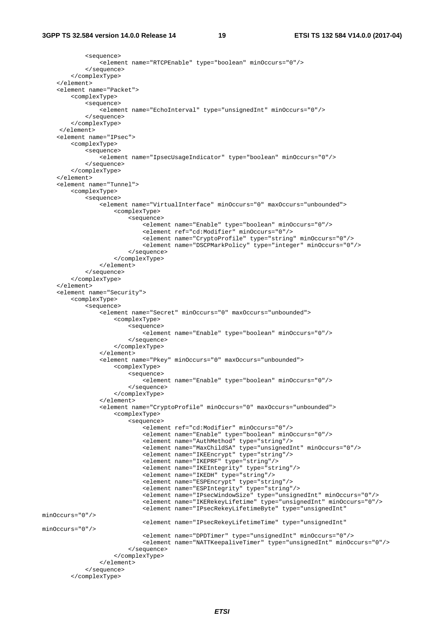```
 <sequence> 
                 <element name="RTCPEnable" type="boolean" minOccurs="0"/> 
             </sequence> 
         </complexType> 
     </element> 
     <element name="Packet"> 
         <complexType> 
             <sequence> 
                 <element name="EchoInterval" type="unsignedInt" minOccurs="0"/> 
             </sequence> 
         </complexType> 
      </element> 
     <element name="IPsec"> 
         <complexType> 
             <sequence> 
                 <element name="IpsecUsageIndicator" type="boolean" minOccurs="0"/> 
             </sequence> 
         </complexType> 
     </element> 
     <element name="Tunnel"> 
         <complexType> 
             <sequence> 
                 <element name="VirtualInterface" minOccurs="0" maxOccurs="unbounded"> 
                     <complexType> 
                         <sequence> 
                              <element name="Enable" type="boolean" minOccurs="0"/> 
                              <element ref="cd:Modifier" minOccurs="0"/> 
 <element name="CryptoProfile" type="string" minOccurs="0"/> 
 <element name="DSCPMarkPolicy" type="integer" minOccurs="0"/> 
                         </sequence> 
                     </complexType> 
                 </element> 
             </sequence> 
         </complexType> 
    \epsilon/element>
     <element name="Security"> 
         <complexType> 
             <sequence> 
                 <element name="Secret" minOccurs="0" maxOccurs="unbounded"> 
                     <complexType> 
                         <sequence> 
                             <element name="Enable" type="boolean" minOccurs="0"/> 
                         </sequence> 
                     </complexType> 
                 </element> 
                 <element name="Pkey" minOccurs="0" maxOccurs="unbounded"> 
                     <complexType> 
                         <sequence> 
                              <element name="Enable" type="boolean" minOccurs="0"/> 
                          </sequence> 
                      </complexType> 
                 </element> 
                 <element name="CryptoProfile" minOccurs="0" maxOccurs="unbounded"> 
                      <complexType> 
                         <sequence> 
                              <element ref="cd:Modifier" minOccurs="0"/> 
                              <element name="Enable" type="boolean" minOccurs="0"/> 
                              <element name="AuthMethod" type="string"/> 
 <element name="MaxChildSA" type="unsignedInt" minOccurs="0"/> 
 <element name="IKEEncrypt" type="string"/> 
                              <element name="IKEPRF" type="string"/> 
                              <element name="IKEIntegrity" type="string"/> 
                              <element name="IKEDH" type="string"/> 
                              <element name="ESPEncrypt" type="string"/> 
                              <element name="ESPIntegrity" type="string"/> 
                              <element name="IPsecWindowSize" type="unsignedInt" minOccurs="0"/> 
                              <element name="IKERekeyLifetime" type="unsignedInt" minOccurs="0"/> 
                              <element name="IPsecRekeyLifetimeByte" type="unsignedInt" 
minOccurs="0"/> 
                              <element name="IPsecRekeyLifetimeTime" type="unsignedInt" 
minOccurs="0"/> 
                              <element name="DPDTimer" type="unsignedInt" minOccurs="0"/> 
                              <element name="NATTKeepaliveTimer" type="unsignedInt" minOccurs="0"/> 
                         </sequence> 
                     </complexType> 
                 </element> 
             </sequence> 
         </complexType>
```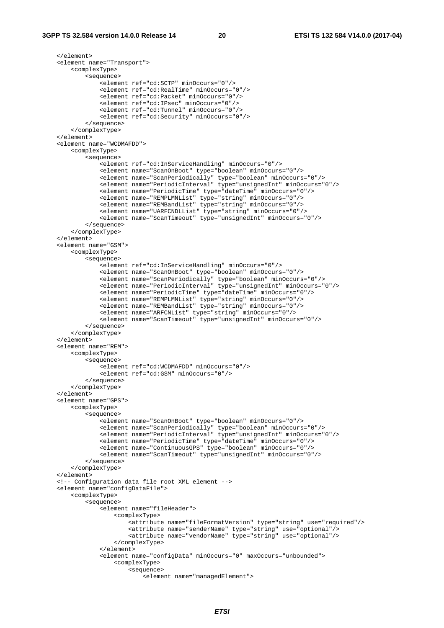</element> <element name="Transport"> <complexType> <sequence> <element ref="cd:SCTP" minOccurs="0"/> <element ref="cd:RealTime" minOccurs="0"/> <element ref="cd:Packet" minOccurs="0"/> <element ref="cd:IPsec" minOccurs="0"/> <element ref="cd:Tunnel" minOccurs="0"/> <element ref="cd:Security" minOccurs="0"/> </sequence> </complexType> </element> <element name="WCDMAFDD"> <complexType> <sequence> <element ref="cd:InServiceHandling" minOccurs="0"/> <element name="ScanOnBoot" type="boolean" minOccurs="0"/> <element name="ScanPeriodically" type="boolean" minOccurs="0"/> <element name="PeriodicInterval" type="unsignedInt" minOccurs="0"/> <element name="PeriodicTime" type="dateTime" minOccurs="0"/> <element name="REMPLMNList" type="string" minOccurs="0"/> <element name="REMBandList" type="string" minOccurs="0"/> <element name="UARFCNDLList" type="string" minOccurs="0"/> <element name="ScanTimeout" type="unsignedInt" minOccurs="0"/> </sequence> </complexType> </element> <element name="GSM"> <complexType> <sequence> <element ref="cd:InServiceHandling" minOccurs="0"/> <element name="ScanOnBoot" type="boolean" minOccurs="0"/> <element name="ScanPeriodically" type="boolean" minOccurs="0"/> <element name="PeriodicInterval" type="unsignedInt" minOccurs="0"/> <element name="PeriodicTime" type="dateTime" minOccurs="0"/> <element name="REMPLMNList" type="string" minOccurs="0"/> <element name="REMBandList" type="string" minOccurs="0"/> <element name="ARFCNList" type="string" minOccurs="0"/> <element name="ScanTimeout" type="unsignedInt" minOccurs="0"/> </sequence> </complexType> </element> <element name="REM"> <complexType> <sequence> <element ref="cd:WCDMAFDD" minOccurs="0"/> <element ref="cd:GSM" minOccurs="0"/> </sequence> </complexType> </element> <element name="GPS"> <complexType> <sequence> <element name="ScanOnBoot" type="boolean" minOccurs="0"/> <element name="ScanPeriodically" type="boolean" minOccurs="0"/> <element name="PeriodicInterval" type="unsignedInt" minOccurs="0"/> <element name="PeriodicTime" type="dateTime" minOccurs="0"/> <element name="ContinuousGPS" type="boolean" minOccurs="0"/> <element name="ScanTimeout" type="unsignedInt" minOccurs="0"/> </sequence> </complexType> </element> <!-- Configuration data file root XML element --> <element name="configDataFile"> <complexType> <sequence> <element name="fileHeader"> <complexType> <attribute name="fileFormatVersion" type="string" use="required"/> <attribute name="senderName" type="string" use="optional"/> <attribute name="vendorName" type="string" use="optional"/> </complexType> </element> <element name="configData" minOccurs="0" maxOccurs="unbounded"> <complexType> <sequence>

```
 <element name="managedElement">
```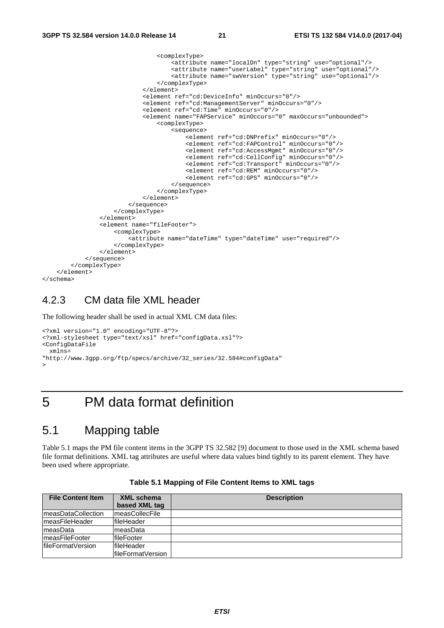```
 <complexType> 
                                        <attribute name="localDn" type="string" use="optional"/> 
                                        <attribute name="userLabel" type="string" use="optional"/> 
                                        <attribute name="swVersion" type="string" use="optional"/> 
                                    </complexType> 
                               </element> 
                               <element ref="cd:DeviceInfo" minOccurs="0"/> 
                               <element ref="cd:ManagementServer" minOccurs="0"/> 
                               <element ref="cd:Time" minOccurs="0"/> 
                               <element name="FAPService" minOccurs="0" maxOccurs="unbounded"> 
                                    <complexType> 
                                        <sequence> 
                                            <element ref="cd:DNPrefix" minOccurs="0"/> 
                                            <element ref="cd:FAPControl" minOccurs="0"/> 
                                            <element ref="cd:AccessMgmt" minOccurs="0"/> 
                                            <element ref="cd:CellConfig" minOccurs="0"/> 
                                            <element ref="cd:Transport" minOccurs="0"/> 
                                            <element ref="cd:REM" minOccurs="0"/> 
                                            <element ref="cd:GPS" minOccurs="0"/> 
                                        </sequence> 
                                    </complexType> 
                               </element> 
                           </sequence> 
                      </complexType> 
                  </element> 
                  <element name="fileFooter"> 
                      <complexType> 
                           <attribute name="dateTime" type="dateTime" use="required"/> 
                      </complexType> 
                 \epsilon/element>
              </sequence> 
         </complexType> 
     </element> 
</schema>
```
#### 4.2.3 CM data file XML header

The following header shall be used in actual XML CM data files:

```
<?xml version="1.0" encoding="UTF-8"?> 
<?xml-stylesheet type="text/xsl" href="configData.xsl"?> 
<ConfigDataFile 
  xmlns= 
"http://www.3gpp.org/ftp/specs/archive/32_series/32.584#configData" 
>
```
#### 5 PM data format definition

#### 5.1 Mapping table

Table 5.1 maps the PM file content items in the 3GPP TS 32.582 [9] document to those used in the XML schema based file format definitions. XML tag attributes are useful where data values bind tightly to its parent element. They have been used where appropriate.

| <b>File Content Item</b> | XML schema             | <b>Description</b> |
|--------------------------|------------------------|--------------------|
|                          | based XML tag          |                    |
| ImeasDataCollection      | <b>ImeasCollecFile</b> |                    |
| ImeasFileHeader          | fileHeader             |                    |
| measData                 | ImeasData              |                    |
| ImeasFileFooter          | fileFooter             |                    |
| lfileFormatVersion       | fileHeader             |                    |
|                          | lfileFormatVersion     |                    |

**Table 5.1 Mapping of File Content Items to XML tags**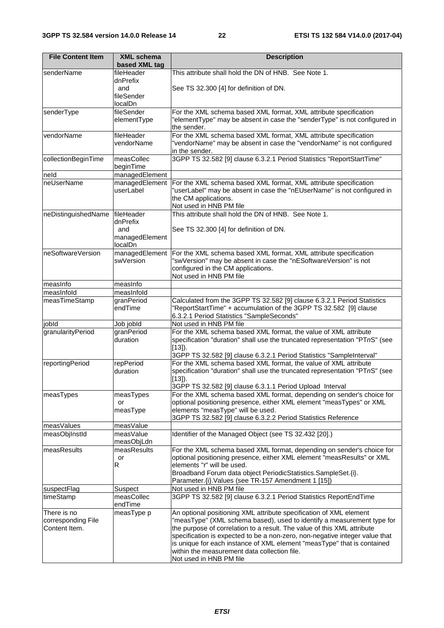| <b>File Content Item</b>   | <b>XML</b> schema       | <b>Description</b>                                                                                                      |
|----------------------------|-------------------------|-------------------------------------------------------------------------------------------------------------------------|
|                            | based XML tag           |                                                                                                                         |
| senderName                 | fileHeader              | This attribute shall hold the DN of HNB. See Note 1.                                                                    |
|                            | dnPrefix                |                                                                                                                         |
|                            | and<br>fileSender       | See TS 32.300 [4] for definition of DN.                                                                                 |
|                            | localDn                 |                                                                                                                         |
| senderType                 | fileSender              | For the XML schema based XML format, XML attribute specification                                                        |
|                            | elementType             | "elementType" may be absent in case the "senderType" is not configured in                                               |
|                            |                         | the sender.                                                                                                             |
| vendorName                 | fileHeader              | For the XML schema based XML format, XML attribute specification                                                        |
|                            | vendorName              | "vendorName" may be absent in case the "vendorName" is not configured                                                   |
| collectionBeginTime        | measCollec              | in the sender.<br>3GPP TS 32.582 [9] clause 6.3.2.1 Period Statistics "ReportStartTime"                                 |
|                            | beginTime               |                                                                                                                         |
| neld                       | managedElement          |                                                                                                                         |
| neUserName                 | managedElement          | For the XML schema based XML format, XML attribute specification                                                        |
|                            | userLabel               | "userLabel" may be absent in case the "nEUserName" is not configured in                                                 |
|                            |                         | the CM applications.                                                                                                    |
| neDistinguishedName        | fileHeader              | Not used in HNB PM file<br>This attribute shall hold the DN of HNB. See Note 1.                                         |
|                            | dnPrefix                |                                                                                                                         |
|                            | and                     | See TS 32.300 [4] for definition of DN.                                                                                 |
|                            | managedElement          |                                                                                                                         |
|                            | localDn                 |                                                                                                                         |
| neSoftwareVersion          | managedElement          | For the XML schema based XML format, XML attribute specification                                                        |
|                            | swVersion               | "swVersion" may be absent in case the "nESoftwareVersion" is not<br>configured in the CM applications.                  |
|                            |                         | Not used in HNB PM file                                                                                                 |
| measInfo                   | measInfo                |                                                                                                                         |
| measInfold                 | measInfold              |                                                                                                                         |
| measTimeStamp              | granPeriod              | Calculated from the 3GPP TS 32.582 [9] clause 6.3.2.1 Period Statistics                                                 |
|                            | endTime                 | "ReportStartTime" + accumulation of the 3GPP TS 32.582 [9] clause                                                       |
|                            |                         | 6.3.2.1 Period Statistics "SampleSeconds"                                                                               |
| jobld<br>granularityPeriod | Job jobld<br>granPeriod | Not used in HNB PM file<br>For the XML schema based XML format, the value of XML attribute                              |
|                            | duration                | specification "duration" shall use the truncated representation "PTnS" (see                                             |
|                            |                         | $[13]$ .                                                                                                                |
|                            |                         | 3GPP TS 32.582 [9] clause 6.3.2.1 Period Statistics "SampleInterval"                                                    |
| reportingPeriod            | repPeriod               | For the XML schema based XML format, the value of XML attribute                                                         |
|                            | duration                | specification "duration" shall use the truncated representation "PTnS" (see                                             |
|                            |                         | $[13]$ ).<br>3GPP TS 32.582 [9] clause 6.3.1.1 Period Upload Interval                                                   |
| measTypes                  | measTypes               | For the XML schema based XML format, depending on sender's choice for                                                   |
|                            | or                      | optional positioning presence, either XML element "measTypes" or XML                                                    |
|                            | measType                | elements "measType" will be used.                                                                                       |
|                            |                         | 3GPP TS 32.582 [9] clause 6.3.2.2 Period Statistics Reference                                                           |
| measValues                 | measValue               |                                                                                                                         |
| measObjInstId              | measValue<br>measObjLdn | Identifier of the Managed Object (see TS 32.432 [20].)                                                                  |
| measResults                | measResults             | For the XML schema based XML format, depending on sender's choice for                                                   |
|                            | or                      | optional positioning presence, either XML element "measResults" or XML                                                  |
|                            | R                       | elements "r" will be used.                                                                                              |
|                            |                         | Broadband Forum data object PeriodicStatistics. SampleSet. {i}.                                                         |
|                            |                         | Parameter.{i}. Values (see TR-157 Amendment 1 [15])                                                                     |
| suspectFlag                | Suspect<br>measCollec   | Not used in HNB PM file<br>3GPP TS 32.582 [9] clause 6.3.2.1 Period Statistics ReportEndTime                            |
| timeStamp                  | endTime                 |                                                                                                                         |
| There is no                | measType p              | An optional positioning XML attribute specification of XML element                                                      |
| corresponding File         |                         | "measType" (XML schema based), used to identify a measurement type for                                                  |
| Content Item.              |                         | the purpose of correlation to a result. The value of this XML attribute                                                 |
|                            |                         | specification is expected to be a non-zero, non-negative integer value that                                             |
|                            |                         | is unique for each instance of XML element "measType" that is contained<br>within the measurement data collection file. |
|                            |                         | Not used in HNB PM file                                                                                                 |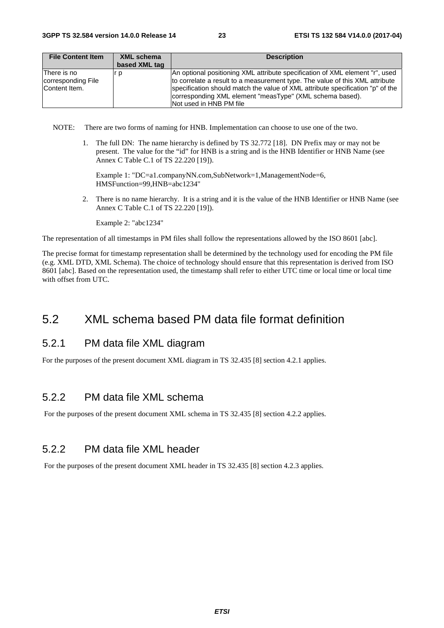| <b>File Content Item</b>                           | XML schema    | <b>Description</b>                                                                                                                                                                                                                                                                                         |
|----------------------------------------------------|---------------|------------------------------------------------------------------------------------------------------------------------------------------------------------------------------------------------------------------------------------------------------------------------------------------------------------|
|                                                    | based XML tag |                                                                                                                                                                                                                                                                                                            |
| There is no<br>corresponding File<br>Content Item. | ° D           | An optional positioning XML attribute specification of XML element "r", used<br>to correlate a result to a measurement type. The value of this XML attribute<br>specification should match the value of XML attribute specification "p" of the<br>corresponding XML element "measType" (XML schema based). |
|                                                    |               | Not used in HNB PM file                                                                                                                                                                                                                                                                                    |

NOTE: There are two forms of naming for HNB. Implementation can choose to use one of the two.

1. The full DN: The name hierarchy is defined by TS 32.772 [18]. DN Prefix may or may not be present. The value for the "id" for HNB is a string and is the HNB Identifier or HNB Name (see Annex C Table C.1 of TS 22.220 [19]).

Example 1: "DC=a1.companyNN.com,SubNetwork=1,ManagementNode=6, HMSFunction=99,HNB=abc1234"

2. There is no name hierarchy. It is a string and it is the value of the HNB Identifier or HNB Name (see Annex C Table C.1 of TS 22.220 [19]).

Example 2: "abc1234"

The representation of all timestamps in PM files shall follow the representations allowed by the ISO 8601 [abc].

The precise format for timestamp representation shall be determined by the technology used for encoding the PM file (e.g. XML DTD, XML Schema). The choice of technology should ensure that this representation is derived from ISO 8601 [abc]. Based on the representation used, the timestamp shall refer to either UTC time or local time or local time with offset from UTC.

#### 5.2 XML schema based PM data file format definition

#### 5.2.1 PM data file XML diagram

For the purposes of the present document XML diagram in TS 32.435 [8] section 4.2.1 applies.

#### 5.2.2 PM data file XML schema

For the purposes of the present document XML schema in TS 32.435 [8] section 4.2.2 applies.

#### 5.2.2 PM data file XML header

For the purposes of the present document XML header in TS 32.435 [8] section 4.2.3 applies.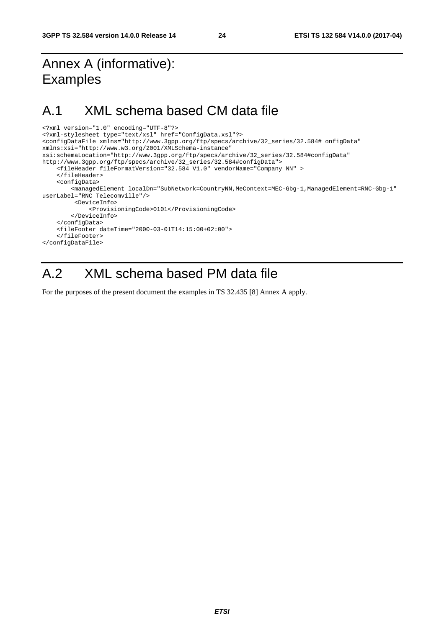# Annex A (informative): Examples

### A.1 XML schema based CM data file

```
<?xml version="1.0" encoding="UTF-8"?> 
<?xml-stylesheet type="text/xsl" href="ConfigData.xsl"?> 
<configDataFile xmlns="http://www.3gpp.org/ftp/specs/archive/32_series/32.584# onfigData" 
xmlns:xsi="http://www.w3.org/2001/XMLSchema-instance" 
xsi:schemaLocation="http://www.3gpp.org/ftp/specs/archive/32_series/32.584#configData" 
http://www.3gpp.org/ftp/specs/archive/32_series/32.584#configData"> 
     <fileHeader fileFormatVersion="32.584 V1.0" vendorName="Company NN" > 
     </fileHeader> 
     <configData> 
        <managedElement localDn="SubNetwork=CountryNN,MeContext=MEC-Gbg-1,ManagedElement=RNC-Gbg-1"
userLabel="RNC Telecomville"/> 
          <DeviceInfo> 
              <ProvisioningCode>0101</ProvisioningCode> 
         </DeviceInfo> 
     </configData> 
     <fileFooter dateTime="2000-03-01T14:15:00+02:00"> 
     </fileFooter> 
</configDataFile>
```
# A.2 XML schema based PM data file

For the purposes of the present document the examples in TS 32.435 [8] Annex A apply.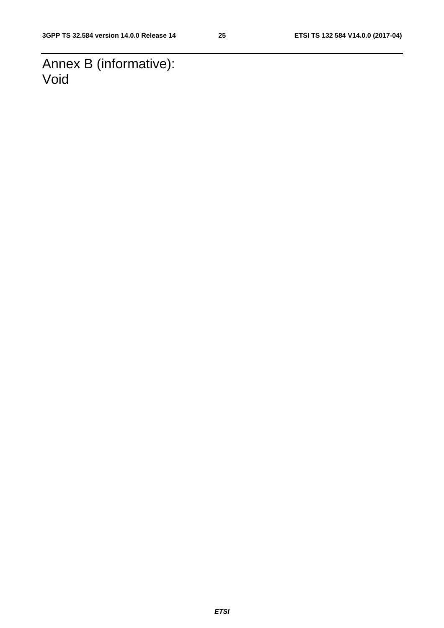Annex B (informative): Void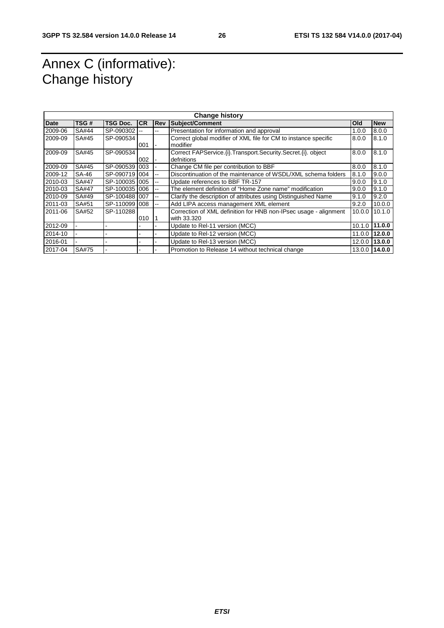# Annex C (informative): Change history

| <b>Change history</b> |              |                 |           |                          |                                                                   |            |               |
|-----------------------|--------------|-----------------|-----------|--------------------------|-------------------------------------------------------------------|------------|---------------|
| <b>Date</b>           | TSG#         | <b>TSG Doc.</b> | <b>CR</b> | <b>Rev</b>               | Subject/Comment                                                   | <b>Old</b> | <b>New</b>    |
| 2009-06               | SA#44        | SP-090302       |           | --                       | Presentation for information and approval                         | 1.0.0      | 8.0.0         |
| 2009-09               | SA#45        | SP-090534       |           |                          | Correct global modifier of XML file for CM to instance specific   | 8.0.0      | 8.1.0         |
|                       |              |                 | 001       |                          | modifier                                                          |            |               |
| 2009-09               | SA#45        | SP-090534       |           |                          | Correct FAPService. (i). Transport. Security. Secret. (i). object | 8.0.0      | 8.1.0         |
|                       |              |                 | 002       |                          | defnitions                                                        |            |               |
| 2009-09               | SA#45        | SP-090539       | 003       |                          | Change CM file per contribution to BBF                            | 8.0.0      | 8.1.0         |
| 2009-12               | SA-46        | SP-090719       | 004       | $\overline{\phantom{a}}$ | Discontinuation of the maintenance of WSDL/XML schema folders     | 8.1.0      | 9.0.0         |
| 2010-03               | <b>SA#47</b> | SP-100035       | 005       | $-$                      | Update references to BBF TR-157                                   | 9.0.0      | 9.1.0         |
| 2010-03               | <b>SA#47</b> | SP-100035       | 006       | --                       | The element definition of "Home Zone name" modification           | 9.0.0      | 9.1.0         |
| 2010-09               | SA#49        | SP-100488       | 007       | --                       | Clarify the description of attributes using Distinguished Name    | 9.1.0      | 9.2.0         |
| 2011-03               | SA#51        | SP-110099       | 008       | --                       | Add LIPA access management XML element                            | 9.2.0      | 10.0.0        |
| 2011-06               | SA#52        | SP-110288       |           |                          | Correction of XML definition for HNB non-IPsec usage - alignment  | 10.0.0     | 10.1.0        |
|                       |              |                 | 010       |                          | with 33.320                                                       |            |               |
| 2012-09               |              |                 |           |                          | Update to Rel-11 version (MCC)                                    |            | 10.1.0 11.0.0 |
| 2014-10               |              |                 |           |                          | Update to Rel-12 version (MCC)                                    |            | 11.0.0 12.0.0 |
| 2016-01               |              |                 |           |                          | Update to Rel-13 version (MCC)                                    |            | 12.0.0 13.0.0 |
| 2017-04               | SA#75        |                 |           |                          | Promotion to Release 14 without technical change                  |            | 13.0.0 14.0.0 |